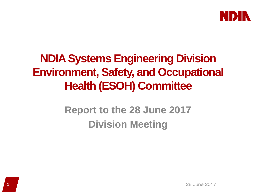

# **NDIA Systems Engineering Division Environment, Safety, and Occupational Health (ESOH) Committee**

# **Report to the 28 June 2017 Division Meeting**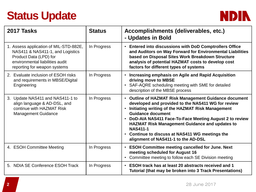# **Status Update**



| 2017 Tasks                                                                                                                                                              | <b>Status</b> | Accomplishments (deliverables, etc.)<br>- Updates in Bold                                                                                                                                                                                                                                                                                                                                                                                             |
|-------------------------------------------------------------------------------------------------------------------------------------------------------------------------|---------------|-------------------------------------------------------------------------------------------------------------------------------------------------------------------------------------------------------------------------------------------------------------------------------------------------------------------------------------------------------------------------------------------------------------------------------------------------------|
| 1. Assess application of MIL-STD-882E,<br>NAS411 & NAS411-1, and Logistics<br>Product Data (LPD) for<br>environmental liabilities audit<br>reporting for weapon systems | In Progress   | <b>Entered into discussions with DoD Comptrollers Office</b><br>$\bullet$<br>and Auditors on Way Forward for Environmental Liabilities<br>based on Disposal Sites Work Breakdown Structure<br>analysis of potential HAZMAT costs to develop cost<br>factors for different types of systems                                                                                                                                                            |
| 2. Evaluate inclusion of ESOH risks<br>and requirements in MBSE/Digital<br>Engineering                                                                                  | In Progress   | Increasing emphasis on Agile and Rapid Acquisition<br>$\bullet$<br>driving move to MBSE<br>SAF-AQRE scheduling meeting with SME for detailed<br>$\bullet$<br>description of the MBSE process                                                                                                                                                                                                                                                          |
| 3. Update NAS411 and NAS411-1 to<br>align language & AD-DSL, and<br>continue with HAZMAT Risk<br><b>Management Guidance</b>                                             | In Progress   | • Outline of HAZMAT Risk Management Guidance document<br>developed and provided to the NAS411 WG for review<br>Initiating writing of the HAZMAT Risk Management<br>$\bullet$<br><b>Guidance document</b><br>DoD-AIA NAS411 Face-To-Face Meeting August 2 to review<br>$\bullet$<br><b>HAZMAT Risk Management Guidance and updates to</b><br><b>NAS411-1</b><br>• Continue to discuss at NAS411 WG meetings the<br>alignment of NAS411-1 to the AD-DSL |
| 4. ESOH Committee Meeting                                                                                                                                               | In Progress   | <b>ESOH Committee meeting cancelled for June. Next</b><br>$\bullet$<br>meeting scheduled for August 16<br>Committee meeting to follow each SE Division meeting                                                                                                                                                                                                                                                                                        |
| 5. NDIA SE Conference ESOH Track                                                                                                                                        | In Progress   | ESOH track has at least 20 abstracts received and 1<br>$\bullet$<br>Tutorial (that may be broken into 3 Track Presentations)                                                                                                                                                                                                                                                                                                                          |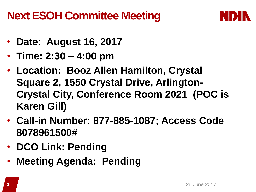# **Next ESOH Committee Meeting**



- **Date: August 16, 2017**
- **Time: 2:30 – 4:00 pm**
- **Location: Booz Allen Hamilton, Crystal Square 2, 1550 Crystal Drive, Arlington-Crystal City, Conference Room 2021 (POC is Karen Gill)**
- **Call-in Number: 877-885-1087; Access Code 8078961500#**
- **DCO Link: Pending**
- **Meeting Agenda: Pending**